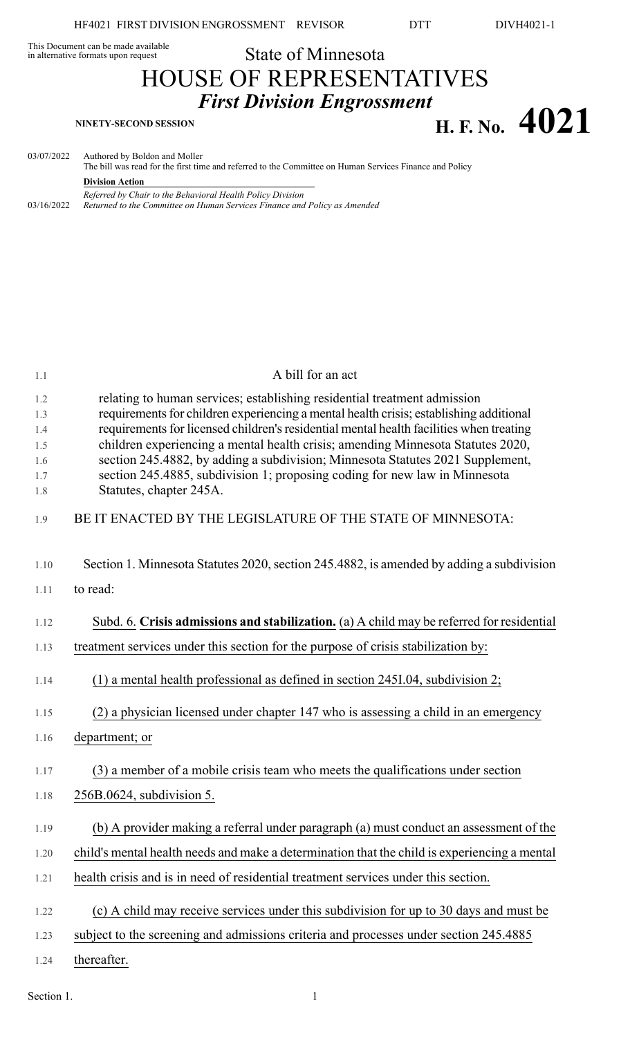This Document can be made available<br>in alternative formats upon request

## State of Minnesota HOUSE OF REPRESENTATIVES *First Division Engrossment* **H. F. No.**  $4021$

| 03/07/2022 | Authored by Boldon and Moller<br>The bill was read for the first time and referred to the Committee on Human Services Finance and Policy |
|------------|------------------------------------------------------------------------------------------------------------------------------------------|
|            | <b>Division Action</b>                                                                                                                   |
| 03/16/2022 | Referred by Chair to the Behavioral Health Policy Division<br>Returned to the Committee on Human Services Finance and Policy as Amended  |

| 1.1        | A bill for an act                                                                                                                                                  |
|------------|--------------------------------------------------------------------------------------------------------------------------------------------------------------------|
| 1.2<br>1.3 | relating to human services; establishing residential treatment admission<br>requirements for children experiencing a mental health crisis; establishing additional |
| 1.4        | requirements for licensed children's residential mental health facilities when treating                                                                            |
| 1.5<br>1.6 | children experiencing a mental health crisis; amending Minnesota Statutes 2020,<br>section 245.4882, by adding a subdivision; Minnesota Statutes 2021 Supplement,  |
| 1.7        | section 245.4885, subdivision 1; proposing coding for new law in Minnesota                                                                                         |
| 1.8        | Statutes, chapter 245A.                                                                                                                                            |
| 1.9        | BE IT ENACTED BY THE LEGISLATURE OF THE STATE OF MINNESOTA:                                                                                                        |
| 1.10       | Section 1. Minnesota Statutes 2020, section 245.4882, is amended by adding a subdivision                                                                           |
| 1.11       | to read:                                                                                                                                                           |
| 1.12       | Subd. 6. Crisis admissions and stabilization. (a) A child may be referred for residential                                                                          |
| 1.13       | treatment services under this section for the purpose of crisis stabilization by:                                                                                  |
| 1.14       | $(1)$ a mental health professional as defined in section 245I.04, subdivision 2;                                                                                   |
| 1.15       | (2) a physician licensed under chapter 147 who is assessing a child in an emergency                                                                                |
| 1.16       | department; or                                                                                                                                                     |
| 1.17       | (3) a member of a mobile crisis team who meets the qualifications under section                                                                                    |
| 1.18       | 256B.0624, subdivision 5.                                                                                                                                          |
| 1.19       | (b) A provider making a referral under paragraph (a) must conduct an assessment of the                                                                             |
| 1.20       | child's mental health needs and make a determination that the child is experiencing a mental                                                                       |
| 1.21       | health crisis and is in need of residential treatment services under this section.                                                                                 |
| 1.22       | (c) A child may receive services under this subdivision for up to 30 days and must be                                                                              |
| 1.23       | subject to the screening and admissions criteria and processes under section 245.4885                                                                              |
| 1.24       | thereafter.                                                                                                                                                        |

Section 1.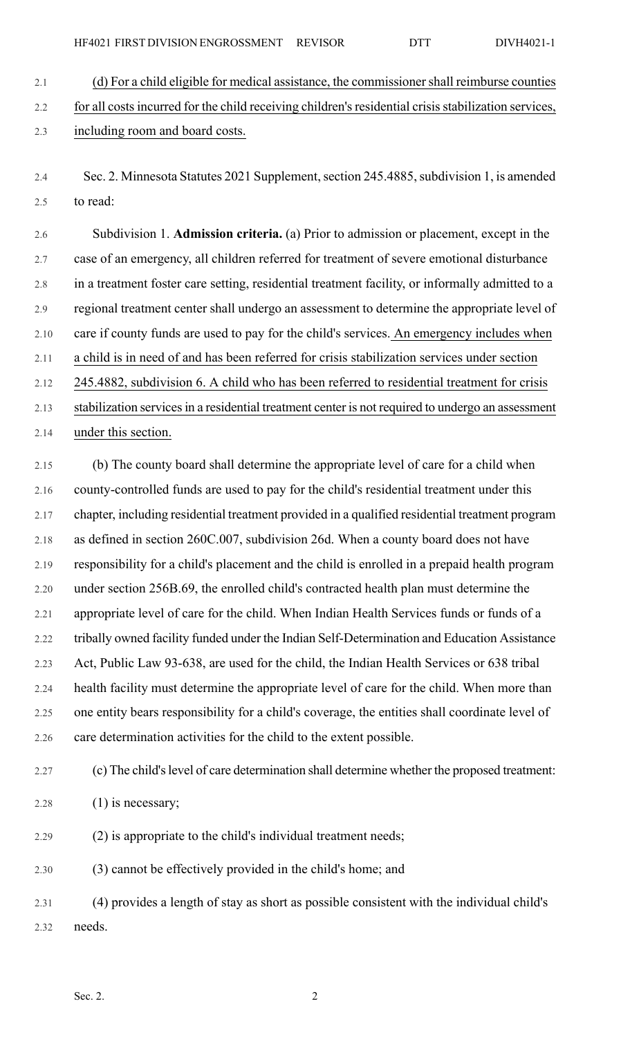2.1 (d) For a child eligible for medical assistance, the commissionershall reimburse counties 2.2 for all costs incurred for the child receiving children's residential crisis stabilization services, 2.3 including room and board costs.

2.4 Sec. 2. Minnesota Statutes 2021 Supplement, section 245.4885, subdivision 1, is amended 2.5 to read:

2.6 Subdivision 1. **Admission criteria.** (a) Prior to admission or placement, except in the 2.7 case of an emergency, all children referred for treatment of severe emotional disturbance 2.8 in a treatment foster care setting, residential treatment facility, or informally admitted to a 2.9 regional treatment center shall undergo an assessment to determine the appropriate level of 2.10 care if county funds are used to pay for the child's services. An emergency includes when 2.11 a child is in need of and has been referred for crisis stabilization services under section 2.12 245.4882, subdivision 6. A child who has been referred to residential treatment for crisis 2.13 stabilization services in a residential treatment center is not required to undergo an assessment 2.14 under this section.

2.15 (b) The county board shall determine the appropriate level of care for a child when 2.16 county-controlled funds are used to pay for the child's residential treatment under this 2.17 chapter, including residential treatment provided in a qualified residential treatment program 2.18 as defined in section 260C.007, subdivision 26d. When a county board does not have 2.19 responsibility for a child's placement and the child is enrolled in a prepaid health program 2.20 under section 256B.69, the enrolled child's contracted health plan must determine the 2.21 appropriate level of care for the child. When Indian Health Services funds or funds of a 2.22 tribally owned facility funded under the Indian Self-Determination and Education Assistance 2.23 Act, Public Law 93-638, are used for the child, the Indian Health Services or 638 tribal 2.24 health facility must determine the appropriate level of care for the child. When more than 2.25 one entity bears responsibility for a child's coverage, the entities shall coordinate level of 2.26 care determination activities for the child to the extent possible.

2.27 (c) The child's level of care determination shall determine whether the proposed treatment:

2.28 (1) is necessary;

2.29 (2) is appropriate to the child's individual treatment needs;

2.30 (3) cannot be effectively provided in the child's home; and

2.31 (4) provides a length of stay as short as possible consistent with the individual child's 2.32 needs.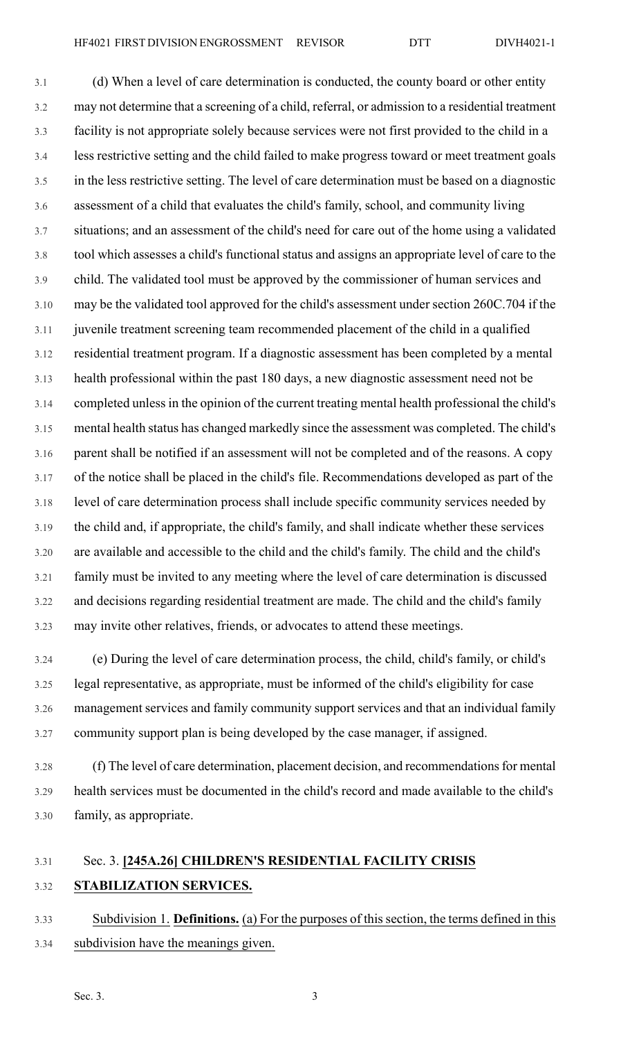3.1 (d) When a level of care determination is conducted, the county board or other entity 3.2 may not determine that a screening of a child, referral, or admission to a residential treatment 3.3 facility is not appropriate solely because services were not first provided to the child in a 3.4 less restrictive setting and the child failed to make progress toward or meet treatment goals 3.5 in the less restrictive setting. The level of care determination must be based on a diagnostic 3.6 assessment of a child that evaluates the child's family, school, and community living 3.7 situations; and an assessment of the child's need for care out of the home using a validated 3.8 tool which assesses a child's functional status and assigns an appropriate level of care to the 3.9 child. The validated tool must be approved by the commissioner of human services and 3.10 may be the validated tool approved for the child's assessment under section 260C.704 if the 3.11 juvenile treatment screening team recommended placement of the child in a qualified 3.12 residential treatment program. If a diagnostic assessment has been completed by a mental 3.13 health professional within the past 180 days, a new diagnostic assessment need not be 3.14 completed unless in the opinion of the current treating mental health professional the child's 3.15 mental health status has changed markedly since the assessment was completed. The child's 3.16 parent shall be notified if an assessment will not be completed and of the reasons. A copy 3.17 of the notice shall be placed in the child's file. Recommendations developed as part of the 3.18 level of care determination process shall include specific community services needed by 3.19 the child and, if appropriate, the child's family, and shall indicate whether these services 3.20 are available and accessible to the child and the child's family. The child and the child's 3.21 family must be invited to any meeting where the level of care determination is discussed 3.22 and decisions regarding residential treatment are made. The child and the child's family 3.23 may invite other relatives, friends, or advocates to attend these meetings.

3.24 (e) During the level of care determination process, the child, child's family, or child's 3.25 legal representative, as appropriate, must be informed of the child's eligibility for case 3.26 management services and family community support services and that an individual family 3.27 community support plan is being developed by the case manager, if assigned.

3.28 (f) The level of care determination, placement decision, and recommendations for mental 3.29 health services must be documented in the child's record and made available to the child's 3.30 family, as appropriate.

## 3.31 Sec. 3. **[245A.26] CHILDREN'S RESIDENTIAL FACILITY CRISIS** 3.32 **STABILIZATION SERVICES.**

3.33 Subdivision 1. **Definitions.** (a) For the purposes of this section, the terms defined in this 3.34 subdivision have the meanings given.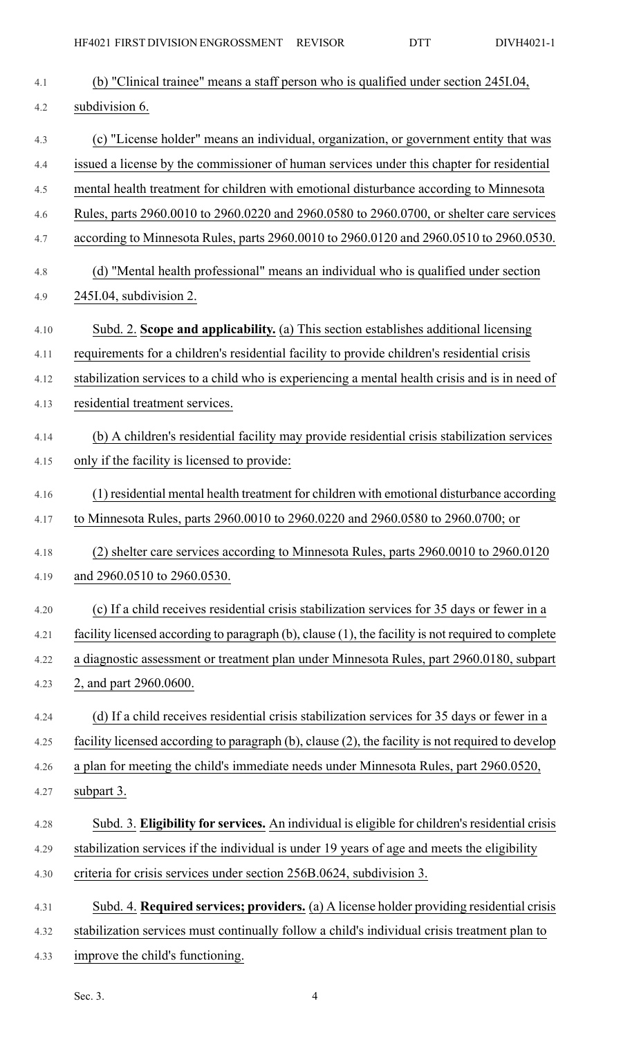| 4.1  | (b) "Clinical trainee" means a staff person who is qualified under section 245I.04,                |
|------|----------------------------------------------------------------------------------------------------|
| 4.2  | subdivision 6.                                                                                     |
| 4.3  | (c) "License holder" means an individual, organization, or government entity that was              |
| 4.4  | issued a license by the commissioner of human services under this chapter for residential          |
| 4.5  | mental health treatment for children with emotional disturbance according to Minnesota             |
| 4.6  | Rules, parts 2960.0010 to 2960.0220 and 2960.0580 to 2960.0700, or shelter care services           |
| 4.7  | according to Minnesota Rules, parts 2960.0010 to 2960.0120 and 2960.0510 to 2960.0530.             |
| 4.8  | (d) "Mental health professional" means an individual who is qualified under section                |
| 4.9  | 245I.04, subdivision 2.                                                                            |
| 4.10 | Subd. 2. Scope and applicability. (a) This section establishes additional licensing                |
| 4.11 | requirements for a children's residential facility to provide children's residential crisis        |
| 4.12 | stabilization services to a child who is experiencing a mental health crisis and is in need of     |
| 4.13 | residential treatment services.                                                                    |
| 4.14 | (b) A children's residential facility may provide residential crisis stabilization services        |
| 4.15 | only if the facility is licensed to provide:                                                       |
| 4.16 | (1) residential mental health treatment for children with emotional disturbance according          |
| 4.17 | to Minnesota Rules, parts 2960.0010 to 2960.0220 and 2960.0580 to 2960.0700; or                    |
| 4.18 | (2) shelter care services according to Minnesota Rules, parts 2960.0010 to 2960.0120               |
| 4.19 | and 2960.0510 to 2960.0530.                                                                        |
| 4.20 | (c) If a child receives residential crisis stabilization services for 35 days or fewer in a        |
| 4.21 | facility licensed according to paragraph (b), clause (1), the facility is not required to complete |
| 4.22 | a diagnostic assessment or treatment plan under Minnesota Rules, part 2960.0180, subpart           |
| 4.23 | 2, and part 2960.0600.                                                                             |
| 4.24 | (d) If a child receives residential crisis stabilization services for 35 days or fewer in a        |
| 4.25 | facility licensed according to paragraph (b), clause (2), the facility is not required to develop  |
| 4.26 | a plan for meeting the child's immediate needs under Minnesota Rules, part 2960.0520,              |
| 4.27 | subpart 3.                                                                                         |
| 4.28 | Subd. 3. Eligibility for services. An individual is eligible for children's residential crisis     |
| 4.29 | stabilization services if the individual is under 19 years of age and meets the eligibility        |
| 4.30 | criteria for crisis services under section 256B.0624, subdivision 3.                               |
| 4.31 | Subd. 4. Required services; providers. (a) A license holder providing residential crisis           |
| 4.32 | stabilization services must continually follow a child's individual crisis treatment plan to       |
| 4.33 | improve the child's functioning.                                                                   |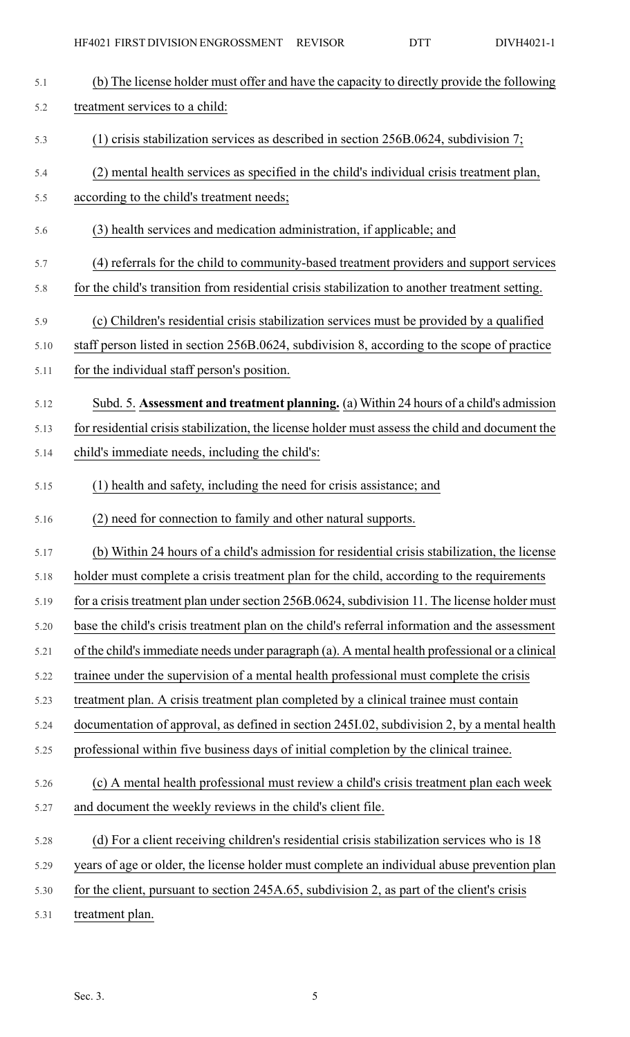| 5.1  | (b) The license holder must offer and have the capacity to directly provide the following       |
|------|-------------------------------------------------------------------------------------------------|
| 5.2  | treatment services to a child:                                                                  |
| 5.3  | $(1)$ crisis stabilization services as described in section 256B.0624, subdivision 7;           |
| 5.4  | (2) mental health services as specified in the child's individual crisis treatment plan,        |
| 5.5  | according to the child's treatment needs;                                                       |
| 5.6  | (3) health services and medication administration, if applicable; and                           |
| 5.7  | (4) referrals for the child to community-based treatment providers and support services         |
| 5.8  | for the child's transition from residential crisis stabilization to another treatment setting.  |
| 5.9  | (c) Children's residential crisis stabilization services must be provided by a qualified        |
| 5.10 | staff person listed in section 256B.0624, subdivision 8, according to the scope of practice     |
| 5.11 | for the individual staff person's position.                                                     |
| 5.12 | Subd. 5. Assessment and treatment planning. (a) Within 24 hours of a child's admission          |
| 5.13 | for residential crisis stabilization, the license holder must assess the child and document the |
| 5.14 | child's immediate needs, including the child's:                                                 |
| 5.15 | (1) health and safety, including the need for crisis assistance; and                            |
| 5.16 | (2) need for connection to family and other natural supports.                                   |
| 5.17 | (b) Within 24 hours of a child's admission for residential crisis stabilization, the license    |
| 5.18 | holder must complete a crisis treatment plan for the child, according to the requirements       |
|      |                                                                                                 |
| 5.19 | for a crisis treatment plan under section 256B.0624, subdivision 11. The license holder must    |
| 5.20 | base the child's crisis treatment plan on the child's referral information and the assessment   |
| 5.21 | of the child's immediate needs under paragraph (a). A mental health professional or a clinical  |
| 5.22 | trainee under the supervision of a mental health professional must complete the crisis          |
| 5.23 | treatment plan. A crisis treatment plan completed by a clinical trainee must contain            |
| 5.24 | documentation of approval, as defined in section 245I.02, subdivision 2, by a mental health     |
| 5.25 | professional within five business days of initial completion by the clinical trainee.           |
| 5.26 | (c) A mental health professional must review a child's crisis treatment plan each week          |
| 5.27 | and document the weekly reviews in the child's client file.                                     |
| 5.28 | (d) For a client receiving children's residential crisis stabilization services who is 18       |
| 5.29 | years of age or older, the license holder must complete an individual abuse prevention plan     |
| 5.30 | for the client, pursuant to section 245A.65, subdivision 2, as part of the client's crisis      |